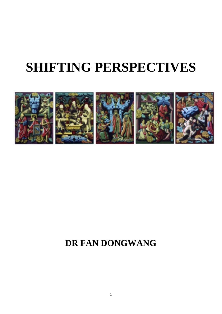## **SHIFTING PERSPECTIVES**



### **DR FAN DONGWANG**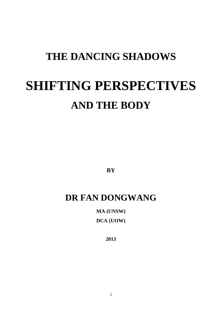# **THE DANCING SHADOWS SHIFTING PERSPECTIVES AND THE BODY**

**BY**

### **DR FAN DONGWANG**

**MA (UNSW) DCA (UOW)**

**2013**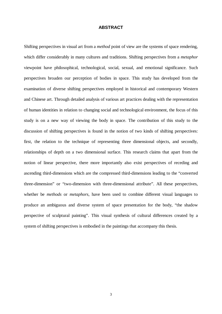### **ABSTRACT**

Shifting perspectives in visual art from a *method* point of view are the systems of space rendering, which differ considerably in many cultures and traditions. Shifting perspectives from a *metaphor* viewpoint have philosophical, technological, social, sexual, and emotional significance. Such perspectives broaden our perception of bodies in space. This study has developed from the examination of diverse shifting perspectives employed in historical and contemporary Western and Chinese art. Through detailed analysis of various art practices dealing with the representation of human identities in relation to changing social and technological environment, the focus of this study is on a new way of viewing the body in space. The contribution of this study to the discussion of shifting perspectives is found in the notion of two kinds of shifting perspectives: first, the relation to the technique of representing three dimensional objects, and secondly, relationships of depth on a two dimensional surface. This research claims that apart from the notion of linear perspective, there more importantly also exist perspectives of receding and ascending third-dimensions which are the compressed third-dimensions leading to the "converted three-dimension" or "two-dimension with three-dimensional attribute". All these perspectives, whether be *methods* or *metaphors*, have been used to combine different visual languages to produce an ambiguous and diverse system of space presentation for the body, "the shadow perspective of sculptural painting". This visual synthesis of cultural differences created by a system of shifting perspectives is embodied in the paintings that accompany this thesis.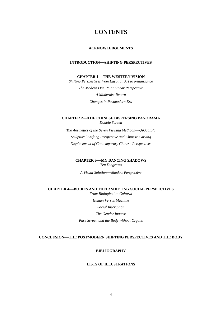### **CONTENTS**

#### **ACKNOWLEDGEMENTS**

### **INTRODUCTION—SHIFTING PERSPECTIVES**

### **CHAPTER 1-THE WESTERN VISION**

*Shifting Perspectives from Egyptian Art to Renaissance The Modern One Point Linear Perspective A Modernist Return Changes in Postmodern Era*

**CHAPTER 2THE CHINESE DISPERSING PANORAMA**  *Double Screen The Aesthetics of the Seven Viewing MethodsQiGuanFa*

*Sculptural Shifting Perspective and Chinese Carving Displacement of Contemporary Chinese Perspectives* 

**CHAPTER 3-MY DANCING SHADOWS** *Ten Diagrams*

*A Visual SolutionShadow Perspective*

#### **CHAPTER 4BODIES AND THEIR SHIFTING SOCIAL PERSPECTIVES**  *From Biological to Cultural*

*Human Versus Machine* 

*Social Inscription* 

*The Gender Inquest* 

*Pure Screen and the Body without Organs*

### **CONCLUSIONTHE POSTMODERN SHIFTING PERSPECTIVES AND THE BODY**

#### **BIBLIOGRAPHY**

#### **LISTS OF ILLUSTRATIONS**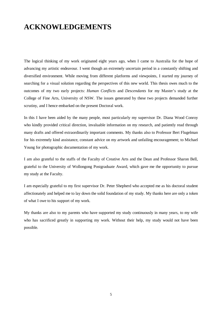### **ACKNOWLEDGEMENTS**

The logical thinking of my work originated eight years ago, when I came to Australia for the hope of advancing my artistic endeavour. I went though an extremely uncertain period in a constantly shifting and diversified environment. While moving from different platforms and viewpoints, I started my journey of searching for a visual solution regarding the perspectives of this new world. This thesis owes much to the outcomes of my two early projects: *Human Conflicts* and *Descendants* for my Master's study at the College of Fine Arts, University of NSW. The issues generated by these two projects demanded further scrutiny, and I hence embarked on the present Doctoral work.

In this I have been aided by the many people, most particularly my supervisor Dr. Diana Wood Conroy who kindly provided critical direction, invaluable information on my research, and patiently read through many drafts and offered extraordinarily important comments. My thanks also to Professor Bert Flugelman for his extremely kind assistance, constant advice on my artwork and unfailing encouragement; to Michael Young for photographic documentation of my work.

I am also grateful to the staffs of the Faculty of Creative Arts and the Dean and Professor Sharon Bell, grateful to the University of Wollongong Postgraduate Award, which gave me the opportunity to pursue my study at the Faculty.

I am especially grateful to my first supervisor Dr. Peter Shepherd who accepted me as his doctoral student affectionately and helped me to lay down the solid foundation of my study. My thanks here are only a token of what I owe to his support of my work.

My thanks are also to my parents who have supported my study continuously in many years, to my wife who has sacrificed greatly in supporting my work. Without their help, my study would not have been possible.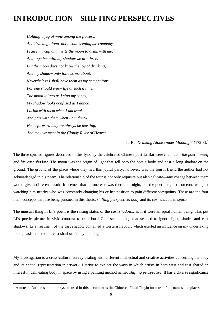### **INTRODUCTIONSHIFTING PERSPECTIVES**

*Holding a jug of wine among the flowers, And drinking along, not a soul keeping me company, I raise my cup and invite the moon to drink with me, And together with my shadow we are three. But the moon does not know the joy of drinking, And my shadow only follows me about. Nevertheless I shall have them as my companions, For one should enjoy life at such a time. The moon loiters as I sing my songs, My shadow looks confused as I dance. I drink with them when I am awake. And part with them when I am drunk. Henceforward may we always be feasting, And may we meet in the Cloudy River of Heaven.*

Li Bai *Drinking Alone Under Moonlight* (172-3).<sup>1</sup>

The three spirited figures described in this lyric by the celebrated Chinese poet Li Bai were *the moon*, *the poet himself* and *his cast shadow*. The moon was the origin of light that fell onto the poet's body and cast a long shadow on the ground. The ground of the place where they had this joyful party, however, was the fourth friend the author had not acknowledged in his poem. The relationship of the four is not only requisite but also delicate—any change between them would give a different result. It seemed that no one else was there that night, but the poet imagined someone was just watching him nearby who was constantly changing his or her position to gain different viewpoints. These are the four main concepts that are being pursued in this thesis: *shifting perspective*, *body* and its *cast shadow* in *space*.

The unusual thing in Li's poem is the raising status of the *cast shadows*, as if it were an equal human being. This put Li's poetic picture in vivid contrast to traditional Chinese paintings that seemed to ignore light, shades and cast shadows. Li's treatment of the cast shadow contained a western flavour, which exerted an influence on my undertaking to emphasise the role of cast shadows in my painting.

My investigation is a cross-cultural survey dealing with different intellectual and creative activities concerning the body and its spatial representation in artwork. I strive to explore the ways in which artists in both west and east shared an interest in delineating body in space by using a painting method named *shifting perspective*. It has a diverse significance

<sup>&</sup>lt;sup>1</sup> A note on Romanisation: the system used in this document is the Chinese official Pinyin for most of the names and places.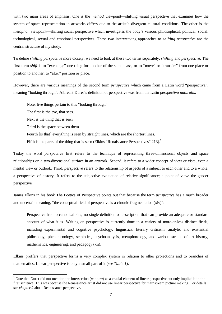with two main areas of emphasis. One is the *method* viewpoint—shifting visual perspective that examines how the system of space representation in artworks differs due to the artist's divergent cultural conditions. The other is the *metaphor* viewpoint—shifting social perspective which investigates the body's various philosophical, political, social, technological, sexual and emotional perspectives. These two interweaving approaches to *shifting perspective* are the central structure of my study.

To define *shifting perspective* more closely, we need to look at these two terms separately: *shifting* and *perspective.* The first term *shift* is to "exchange" one thing for another of the same class, or to "move" or "transfer" from one place or position to another, to "alter" position or place.

However, there are various meanings of the second term *perspective* which came from a Latin word "perspectiva", meaning "looking through". Albrecht Durer's definition of perspective was from the Latin *perspectiva naturalis*:

Note: five things pertain to this "looking through":

The first is the eye, that sees.

Next is the thing that is seen.

Third is the space between them.

Fourth [is that] everything is seen by straight lines, which are the shortest lines.

Fifth is the parts of the thing that is seen (Elkins "Renaissance Perspectives"  $213$ ).<sup>2</sup>

Today the word *perspective* first refers to the technique of representing three-dimensional objects and space relationships on a two-dimensional surface in an artwork. Second, it refers to a wider concept of view or vista, even a mental view or outlook. Third, *perspective* refers to the relationship of aspects of a subject to each other and to a whole: a perspective of history. It refers to the subjective evaluation of relative significance; a point of view: the gender perspective.

James Elkins in his book The Poetics of Perspective points out that because the term *perspective* has a much broader and uncertain meaning, "the conceptual field of perspective is a chronic fragmentation (xiv)":

Perspective has no canonical site, no single definition or description that can provide an adequate or standard account of what it is. Writing on perspective is currently done in a variety of more-or-less distinct fields, including experimental and cognitive psychology, linguistics, literary criticism, analytic and existential philosophy, phenomenology, semiotics, psychoanalysis, metaphorology, and various strains of art history, mathematics, engineering, and pedagogy (xii).

Elkins proffers that perspective forms a very complex system in relation to other projections and to branches of mathematics. Linear perspective is only a small part of it (see *Table 1*).

<sup>&</sup>lt;sup>2</sup> Note that Durer did not mention the intersection (window) as a crucial element of linear perspective but only implied it in the first sentence. This was because the Renaissance artist did not use linear perspective for mainstream picture making. For details see *chapter 2* about Renaissance perspective.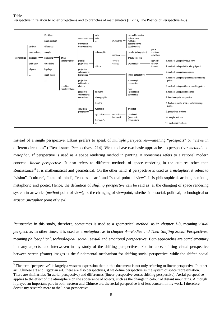Table 1 Perspective in relation to other projections and to branches of mathematics (Elkins, The Poetics of Perspective 4-5).



Instead of a single perspective, Elkins prefers to speak of *multiple perspectives*meaning "prospects" or "views in different directions" ("Renaissance Perspectives" 214). We thus have two basic approaches to perspective: *method* and *metaphor.* If perspective is used as a space rendering method in panting, it sometimes refers to a rational modern concept*linear perspective*. It also refers to different methods of space rendering in the cultures other than Renaissance.<sup>3</sup> It is mathematical and geometrical. On the other hand, if perspective is used as a *metaphor*, it refers to "vision", "culture", "state of mind", "epochs of art" and "social point of view". It is philosophical, artistic, semiotic, metaphoric and poetic. Hence, the definition of *shifting perspective* can be said as: a, the changing of space rendering system in artworks *(method* point of view); b, the changing of viewpoint, whether it is social, political, technological or artistic (*metaphor* point of view).

*Perspective* in this study, therefore, sometimes is used as a geometrical *method*, as in *chapter 1-3,* meaning *visual perspective*. In other times, it is used as a *metaphor*, as in *chapter 4Bodies and Their Shifting Social Perspectives*, meaning *philosophical, technological, social, sexual* and *emotional perspectives*. Both approaches are complementary in many aspects, and interwoven in my study of the shifting perspectives. For instance, shifting visual perspective between screen (frame) images is the fundamental mechanism for shifting social perspective, while the shifted social

<sup>&</sup>lt;sup>3</sup> The term "perspective" is largely a western expression that in this document is not only referring to linear perspective. In other art (Chinese art and Egyptian art) there are also perspectives, if we define perspective as the system of space representation. There are similarities (in aerial perspective) and differences (linear perspective verses shifting perspective). Aerial perspective applies to the effect of the atmosphere on the appearance of objects, such as the change in colour of distant mountains. Although it played an important part in both western and Chinese art, the aerial perspective is of less concern in my work. I therefore devote my research more to the linear perspective.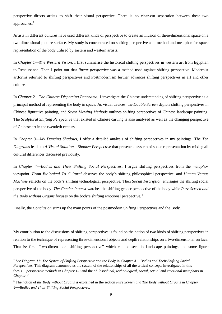perspective directs artists to shift their visual perspective. There is no clear-cut separation between these two approaches.<sup>4</sup>

Artists in different cultures have used different kinds of perspective to create an illusion of three-dimensional space on a two-dimensional picture surface. My study is concentrated on shifting perspective as a method and metaphor for space representation of the body utilised by eastern and western artists.

In *Chapter 1The Western Vision,* I first summarise the historical shifting perspectives in western art from Egyptian to Renaissance. Than I point out that *linear perspective* was a method used against shifting perspective. Modernist artforms returned to shifting perspectives and Postmodernism further advances shifting perspectives in art and other cultures.

In *Chapter 2The Chinese Dispersing Panorama,* I investigate the Chinese understanding of shifting perspective as a principal method of representing the body in space. As visual devices, the *Double Screen* depicts shifting perspectives in Chinese figurative painting, and *Seven Viewing Methods* outlines shifting perspectives of Chinese landscape painting. The *Sculptural Shifting Perspective* that existed in Chinese carving is also analysed as well as the changing perspective of Chinese art in the twentieth century.

In *Chapter 3My Dancing Shadows*, I offer a detailed analysis of shifting perspectives in my paintings. The *Ten Diagrams* leads to *A Visual SolutionShadow Perspective* that presents a system of space representation by mixing all cultural differences discussed previously.

In *Chapter 4Bodies and Their Shifting Social Perspectives,* I argue shifting perspectives from the *metaphor*  viewpoint. *From Biological To Cultural* observes the body's shifting philosophical perspective, and *Human Versus Machine* reflects on the body's shifting technological perspective. Then *Social Inscription* envisages the shifting social perspective of the body. *The Gender Inquest* watches the shifting gender perspective of the body while *Pure Screen and the Body without Organs* focuses on the body's shifting emotional perspective.<sup>5</sup>

Finally, the *Conclusion* sums up the main points of the postmodern Shifting Perspectives and the Body.

My contribution to the discussions of shifting perspectives is found on the notion of two kinds of shifting perspectives in relation to the technique of representing three-dimensional objects and depth relationships on a two-dimensional surface. That is: first, "two-dimensional shifting perspective" which can be seen in landscape paintings and some figure

 <sup>4</sup> See *Diagram 11: The System of Shifting Perspective and the Body* in *Chapter 4Bodies and Their Shifting Social Perspectives.* This diagram demonstrates the system of the relationships of all the critical concepts investigated in this thesis*perspective methods* in *Chapter 1-3* and the *philosophical, technological, social, sexual* and *emotional metaphors* in *Chapter 4*.

<sup>5</sup> The notion of *the Body without Organs* is explained in the section *Pure Screen and The Body without Organs* in *Chapter 4Bodies and Their Shifting Social Perspectives*.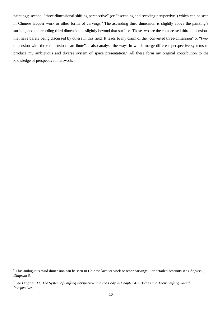paintings; second, "three-dimensional shifting perspective" (or "ascending and receding perspective") which can be seen in Chinese lacquer work or other forms of carvings.<sup>6</sup> The ascending third dimension is slightly above the painting's surface, and the receding third dimension is slightly beyond that surface. These two are the compressed third dimensions that have barely being discussed by others in this field. It leads to my claim of the "converted three-dimension" or "twodimension with three-dimensional attribute". I also analyse the ways in which merge different perspective systems to produce my ambiguous and diverse system of space presentation.<sup>7</sup> All these form my original contribution to the knowledge of perspective in artwork.

 <sup>6</sup> This ambiguous third dimension can be seen in Chinese lacquer work or other carvings. For detailed accounts see *Chapter 3, Diagram 6*.

<sup>7</sup> See *Diagram 11: The System of Shifting Perspective and the Body* in *Chapter 4Bodies and Their Shifting Social Perspectives.*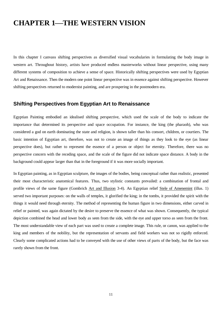### **CHAPTER 1—THE WESTERN VISION**

In this chapter I canvass shifting perspectives as diversified visual vocabularies in formulating the body image in western art. Throughout history, artists have produced endless masterworks without linear perspective, using many different systems of composition to achieve a sense of space. Historically shifting perspectives were used by Egyptian Art and Renaissance*.* Then the modern one point linear perspective was in essence against shifting perspective. However shifting perspectives returned to modernist painting, and are prospering in the postmodern era.

### **Shifting Perspectives from Egyptian Art to Renaissance**

Egyptian Painting embodied an idealised shifting perspective, which used the scale of the body to indicate the importance that determined its perspective and space occupation. For instance, the king (the pharaoh), who was considered a god on earth dominating the state and religion, is shown taller than his consort, children, or courtiers. The basic intention of Egyptian art, therefore, was not to create an image of things as they look to the eye (as linear perspective does), but rather to represent the essence of a person or object for eternity. Therefore, there was no perspective concern with the receding space, and the scale of the figure did not indicate space distance. A body in the background could appear larger than that in the foreground if it was more socially important.

In Egyptian painting, as in Egyptian sculpture, the images of the bodies, being conceptual rather than realistic, presented their most characteristic anatomical features. Thus, two stylistic constants prevailed: a combination of frontal and profile views of the same figure (Gombrich Art and Illusion 3-4). An Egyptian relief Stele of Amenemint (illus. 1) served two important purposes: on the walls of temples, it glorified the king; in the tombs, it provided the spirit with the things it would need through eternity. The method of representing the human figure in two dimensions, either carved in relief or painted, was again dictated by the desire to preserve the essence of what was shown. Consequently, the typical depiction combined the head and lower body as seen from the side, with the eye and upper torso as seen from the front. The most understandable view of each part was used to create a complete image. This rule, or canon, was applied to the king and members of the nobility, but the representation of servants and field workers was not so rigidly enforced. Clearly some complicated actions had to be conveyed with the use of other views of parts of the body, but the face was rarely shown from the front.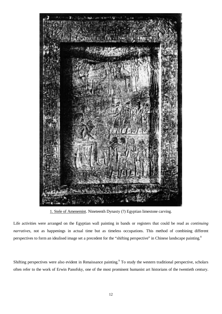

1. Stele of Amenemint. Nineteenth Dynasty (?) Egyptian limestone carving.

Life activities were arranged on the Egyptian wall painting in bands or registers that could be read as *continuing narratives*, not as happenings in actual time but as timeless occupations. This method of combining different perspectives to form an idealised image set a precedent for the "shifting perspective" in Chinese landscape painting.<sup>8</sup>

Shifting perspectives were also evident in Renaissance painting.<sup>9</sup> To study the western traditional perspective, scholars often refer to the work of Erwin Panofsky, one of the most prominent humanist art historians of the twentieth century.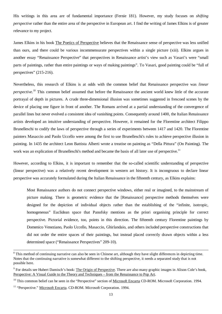His writings in this area are of fundamental importance (Fernie 181). However, my study focuses on *shifting perspective* rather than the entire area of the perspective in European art. I find the writing of James Elkins is of greater relevance to my project.

James Elkins in his book The Poetics of Perspective believes that the Renaissance sense of perspective was less unified than ours, and there could be various incommensurate perspectives within a single picture (xiii). Elkins argues in another essay "Renaissance Perspective" that perspectives in Renaissance artist's view such as Vasari's were "small parts of paintings, rather than entire paintings or ways of making paintings". To Vasari, good painting could be "full of perspectives" (215-216).

Nevertheless, this research of Elkins is at odds with the common belief that Renaissance perspective was *linear perspective*. <sup>10</sup> This common belief assumed that before the Renaissance the ancient world knew little of the accurate portrayal of depth in pictures. A crude three-dimensional illusion was sometimes suggested in frescoed scenes by the device of placing one figure in front of another. The Romans arrived at a partial understanding of the convergence of parallel lines but never evolved a consistent idea of vanishing points. Consequently around 1400, the Italian Renaissance artists developed an intuitive understanding of perspective. However, it remained for the Florentine architect Filippo Brunelleschi to codify the laws of perspective through a series of experiments between 1417 and 1420. The Florentine painters Masaccio and Paolo Uccello were among the first to use Brunelleschi's rules to achieve perspective illusion in painting. In 1435 the architect Leon Battista Alberti wrote a treatise on painting as "Della Pittura" (On Painting). The work was an explication of Brunelleschi's method and became the basis of all later use of perspective.<sup>11</sup>

However, according to Elkins, it is important to remember that the so-called scientific understanding of perspective (linear perspective) was a relatively recent development in western art history. It is incongruous to declare linear perspective was accurately formulated during the Italian Renaissance in the fifteenth century, as Elkins explains:

Most Renaissance authors do not connect perspective windows, either real or imagined, to the mainstream of picture making. There is geometric evidence that the [Renaissance] perspective methods themselves were designed for the depiction of individual objects rather than the establishing of the "infinite, isotropic, homogeneous" Euclidean space that Panofsky mentions as the priori organising principle for correct perspective. Pictorial evidence, too, points in this direction. The fifteenth century Florentine paintings by Domenico Veneziano, Paolo Uccello, Masaccio, Ghirlandaio, and others included perspective constructions that did not order the entire spaces of their paintings, but instead placed correctly drawn objects within a less determined space ("Renaissance Perspectives" 209-10).

<sup>&</sup>lt;sup>8</sup> This method of continuing narrative can also be seen in Chinese art, although they have slight differences in depicting time. Notes that the continuing narrative is somewhat different to the shifting perspective, it needs a separated study that is not possible here.

<sup>&</sup>lt;sup>9</sup> For details see Hubert Damisch's book: The Origin of Perspective. There are also many graphic images in Alison Cole's book, Perspective: A Visual Guide to the Theory and Techniques – from the Renaissance to Pop Art.

<sup>&</sup>lt;sup>10</sup> This common belief can be seen in the "Perspective" section of <u>Microsoft Encarta</u> CD-ROM. Microsoft Corporation. 1994.

<sup>&</sup>lt;sup>11</sup> "Perspective." Microsoft Encarta. CD-ROM. Microsoft Corporation. 1994.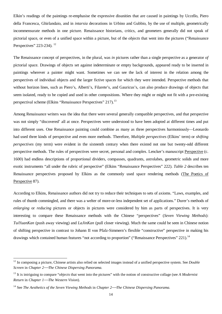Elkin's readings of the paintings re-emphasise the expressive disunities that are caused in paintings by Uccello, Piero della Francesca, Ghirlandaio, and in *intarsia* decorations in Urbino and Gubbio, by the use of multiple, geometrically incommensurate methods in one picture. Renaissance historians, critics, and geometers generally did not speak of pictorial space, or even of a unified space within a picture, but of the *objects* that went into the pictures ("Renaissance Perspectives" 223-234). <sup>12</sup>

The Renaissance concept of perspectives, in the plural, was *in* pictures rather than a single perspective as a generator *of* pictorial space. Drawings of objects set against indeterminate or empty backgrounds, appeared ready to be inserted in paintings wherever a painter might want. Sometimes we can see the lack of interest in the relation among the perspectives of individual objects and the larger fictive spaces for which they were intended. Perspective methods that without horizon lines, such as Piero's, Alberti's, Filarete's, and Gauricus's, can also produce drawings of objects that seem isolated, ready to be copied and used in other compositions. Where they might or might not fit with a pre-existing perspectival scheme (Elkins "Renaissance Perspectives" 217).<sup>13</sup>

Among Renaissance writers was the idea that there were several generally compatible perspectives, and that perspective was not simply "discovered' all at once. Perspectives were understood to have been adopted at different times and put into different uses. One Renaissance painting could combine as many as three perspectives harmoniously—Leonardo had used three kinds of perspective and even more methods. Therefore, *Multiple perspectives* (Elkins' term) or *shifting perspectives* (my term) were evident in the sixteenth century when there existed not one but twenty-odd different perspective methods. The rules of perspectives were secret, personal and complex. Lencker's manuscript Perspective (c. 1600) had endless descriptions of proportional dividers, compasses, quadrants, astrolabes, geometric solids and more exotic instruments "all under the rubric of perspective" (Elkins "Renaissance Perspectives" 222). *Table 2* describes ten Renaissance perspectives proposed by Elkins as the commonly used space rendering methods (The Poetics of Perspective 87).

According to Elkins, Renaissance authors did not try to reduce their techniques to sets of axioms. "Laws, examples, and rules of thumb commingled, and there was a welter of more-or-less independent set of applications." Durer's methods of *enlarging* or *reducing* pictures or objects in pictures were considered by him as parts of perspectives. It is very interesting to compare these Renaissance methods with the Chinese "perspectives" (*Seven Viewing Methods*): *TuiYuanKan* (push away viewing) and *LaJinKan* (pull closer viewing). Much the same could be seen in Chinese notion of shifting perspective in contrast to Johann II von Pfalz-Simmern's flexible "constructive" perspective in making his drawings which contained human features "not according to proportion" ("Renaissance Perspectives" 221).<sup>14</sup>

<sup>&</sup>lt;sup>12</sup> In composing a picture, Chinese artists also relied on selected images instead of a unified perspective system. See *Double Screen* in *Chapter 2The Chinese Dispersing Panorama.*

<sup>&</sup>lt;sup>13</sup> It is intriguing to compare "*objects* that went into the pictures" with the notion of constructive collage (see *A Modernist Return* in *Chapter 1The Western Vision*).

<sup>14</sup> See *The Aesthetics of the Seven Viewing Methods* in *Chapter 2The Chinese Dispersing Panorama.*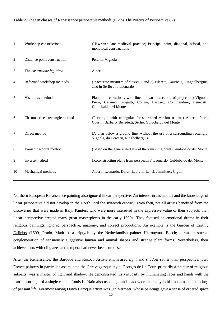Table 2. The ten classes of Renaissance perspective methods (Elkins The Poetics of Perspective 87).

| -1             | Workshop constructions         | (Unwritten late medieval practice) Principal point, diagonal, bifocal, and<br>monofocal constructions                                                                    |
|----------------|--------------------------------|--------------------------------------------------------------------------------------------------------------------------------------------------------------------------|
| 2              | Distance-point construction    | Pelerin, Vignola                                                                                                                                                         |
| 3              | The costruzione legittima      | Alberti                                                                                                                                                                  |
| $\overline{4}$ | Reformed workshop methods      | (Inaccurate mixtures of classes 2 and 3) Filarete, Gauricus, Ringhelbergius;<br>also in Serlio and Leonardo                                                              |
| 5              | Visual-ray method              | Plans and elevations, with lines drawn to a centre of projection) Vignola,<br>Piero, Cataneo, Sirigatti, Cousin, Barbaro, Commandino, Benedetti,<br>Guidobaldo del Monte |
| 6              | Circumscribed-rectangle method | (Rectangle with triangular foreshortened version on top) Alberti, Piero,<br>Cousin, Barbaro, Benedetti, Serlio, Guidobaldo del Monte                                     |
| 7              | Direct method                  | (A plan below a ground line, without the use of a surrounding rectangle)<br>Vignola, du Cerceau, Ringhelbergius                                                          |
| 8              | Vanishing-point method         | (Based on the generalised law of the vanishing point) Guidobaldo del Monte                                                                                               |
| 9              | Inverse method                 | (Reconstructing plans from perspective) Leonardo, Guidobaldo del Monte                                                                                                   |
| 10             | Mechanical methods             | Alberti, Leonardo, Durer, Lauretti, Lanci, Jamnitzer, Cigoli                                                                                                             |

Northern European Renaissance painting also ignored linear perspective. An interest in ancient art and the knowledge of linear perspective did not develop in the North until the sixteenth century. Even then, not all artists benefited from the discoveries that were made in Italy. Painters who were more interested in the expressive value of their subjects than linear perspective created many great masterpieces in the early 1500s. They focused on emotional drama in their religious paintings, ignored perspective, anatomy, and correct proportions. An example is the Garden of Earthly Delights (1500, Prado, Madrid), a triptych by the Netherlandish painter Hieronymus Bosch; it was a surreal conglomeration of sensuously suggestive human and animal shapes and strange plant forms. Nevertheless, their achievements with oil glazes and tempera had never been surpassed.

After the Renaissance, the Baroque and Rococo Artists emphasised *light* and *shadow* rather than perspective. Two French painters in particular assimilated the Caravaggesque style. Georges de La Tour, primarily a painter of religious subjects, was a master of light and shadow. He demonstrated his virtuosity by illuminating faces and hands with the translucent light of a single candle. Louis Le Nain also used light and shadow dramatically in his monumental paintings of peasant life. Foremost among Dutch Baroque artists was Jan Vermeer, whose paintings gave a sense of ordered space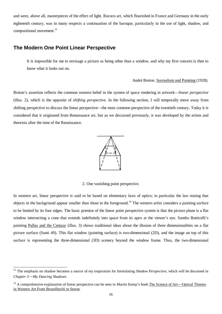and were, above all, masterpieces of the effect of light. Rococo art, which flourished in France and Germany in the early eighteenth century, was in many respects a continuation of the baroque, particularly in the use of light, shadow, and compositional movement.<sup>15</sup>

### **The Modern One Point Linear Perspective**

It is impossible for me to envisage a picture as being other than a window, and why my first concern is then to know what it looks out on.

#### André Breton. Surrealism and Painting (1928).

Breton's assertion reflects the common western belief in the system of space rendering in artwork—*linear perspective* (illus. 2)*,* which is the opposite of *shifting perspective.* In the following section, I will temporally move away from shifting perspective to discuss the linear perspective—the most common perspective of the twentieth century. Today it is considered that it originated from Renaissance art, but as we discussed previously, it was developed by the artists and theorists after the time of the Renaissance.



2. One vanishing point perspective.

In western art, linear perspective is said to be based on elementary laws of optics; in particular the law stating that objects in the background appear smaller than those in the foreground.<sup>16</sup> The western artist considers a painting surface to be limited by its four edges. The basic premise of the linear point perspective system is that the picture plane is a flat window intersecting a cone that extends indefinitely into space from its apex at the viewer's eye. Sandro Botticelli's painting Pallas and the Centaur (illus. 3) shows traditional ideas about the illusion of three dimensionalities on a flat picture surface (Santi 49). This flat window (painting surface) is two-dimensional (2D), and the image on top of this surface is representing the three-dimensional (3D) scenery beyond the window frame. Thus, the two-dimensional

<sup>&</sup>lt;sup>15</sup> The emphasis on shadow becomes a source of my inspiration for formulating *Shadow Perspective*, which will be discussed in *Chapter 3My Dancing Shadows*.

 $16$  A comprehensive explanation of linear perspective can be seen in Martin Kemp's book The Science of Art—Optical Themes in Western Art From Brunelleschi to Seurat.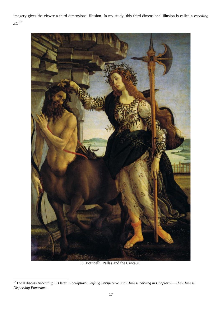imagery gives the viewer a third dimensional illusion. In my study, this third dimensional illusion is called a *receding 3D*. 17



3. Botticelli. Pallas and the Centaur.

 <sup>17</sup> I will discuss *Ascending 3D* later in *Sculptural Shifting Perspective and Chinese carving* in *Chapter 2The Chinese Dispersing Panorama.*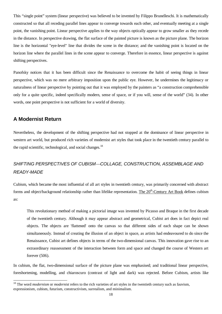This "single point" system (linear perspective) was believed to be invented by Filippo Brunelleschi. It is mathematically constructed so that all receding parallel lines appear to converge towards each other, and eventually meeting at a single point, the vanishing point. Linear perspective applies to the way objects optically appear to grow smaller as they recede in the distance. In perspective drawing, the flat surface of the painted picture is known as the picture plane. The horizon line is the horizontal "eye-level" line that divides the scene in the distance; and the vanishing point is located on the horizon line where the parallel lines in the scene appear to converge. Therefore in essence, linear perspective is against shifting perspectives.

Panofsky notices that it has been difficult since the Renaissance to overcome the habit of seeing things in linear perspective, which was no mere arbitrary imposition upon the public eye. However, he undermines the legitimacy or naturalness of linear perspective by pointing out that it was employed by the painters as "a construction comprehensible only for a quite specific, indeed specifically modern, sense of space, or if you will, sense of the world" (34). In other words, one point perspective is not sufficient for a world of diversity.

### **A Modernist Return**

Nevertheless, the development of the shifting perspective had not stopped at the dominance of linear perspective in western art world, but produced rich varieties of modernist art styles that took place in the twentieth century parallel to the rapid scientific, technological, and social changes. $18$ 

### *SHIFTING PERSPECTIVES OF CUBISMCOLLAGE, CONSTRUCTION, ASSEMBLAGE AND READY-MADE*

Cubism, which became the most influential of all art styles in twentieth century, was primarily concerned with abstract forms and object/background relationship rather than lifelike representation. The 20<sup>th</sup>-Century Art Book defines cubism as:

This revolutionary method of making a pictorial image was invented by Picasso and Braque in the first decade of the twentieth century. Although it may appear abstract and geometrical, Cubist art does in fact depict real objects. The objects are 'flattened' onto the canvas so that different sides of each shape can be shown simultaneously. Instead of creating the illusion of an object in space, as artists had endeavoured to do since the Renaissance, Cubist art defines objects in terms of the two-dimensional canvas. This innovation gave rise to an extraordinary reassessment of the interaction between form and space and changed the course of Western art forever (506).

In cubism, the flat, two-dimensional surface of the picture plane was emphasised; and traditional linear perspective, foreshortening, modelling, and chiaroscuro (contrast of light and dark) was rejected. Before Cubism, artists like

<sup>&</sup>lt;sup>18</sup> The word *modernism* or *modernist* refers to the rich varieties of art styles in the twentieth century such as fauvism, expressionism, cubism, futurism, constructivism, surrealism, and minimalism.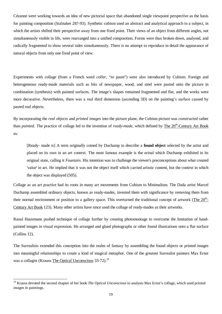Cézanne were working towards an idea of new pictorial space that abandoned single viewpoint perspective as the basis for painting composition (Stalnaker 287-93). Synthetic cubism used an abstract and analytical approach to a subject, in which the artists shifted their perspective away from one fixed point. Their views of an object from different angles, not simultaneously visible in life, were rearranged into a unified composition. Forms were thus broken down, analysed, and radically fragmented to show several sides simultaneously. There is no attempt to reproduce in detail the appearance of natural objects from only one fixed point of view.

Experiments with collage (from a French word *coller*, "to paste") were also introduced by Cubism. Foreign and heterogeneous ready-made materials such as bits of newspaper, wood, and steel were pasted onto the picture in combination (synthesis) with painted surfaces. The image's shapes remained fragmented and flat, and the works were more decorative. Nevertheless, there was a real third dimension (ascending 3D) on the painting's surface caused by pasted real objects.

By incorporating the *real objects* and *printed images* into the picture plane, the Cubism picture was *constructed* rather than *painted*. The practice of collage led to the invention of *ready-made*, which defined by The 20<sup>th</sup>-Century Art Book as:

[Ready- made is] A term originally coined by Duchamp to describe a **found object** selected by the artist and placed on its own in an art context. The most famous example is the urinal which Duchamp exhibited in its original state, calling it *Fountain.* His intention was to challenge the viewer's preconceptions about what created 'value' in art. He implied that it was not the object itself which carried artistic content, but the context in which the object was displayed (505).

Collage as an art practice had its roots in many art movements from Cubism to Minimalism. The Dada artist Marcel Duchamp assembled ordinary objects, known as ready-mades, invested them with significance by removing them from their normal environment or position to a gallery space. This overturned the traditional concept of artwork (The  $20<sup>th</sup>$ -Century Art Book 123). Many other artists have since used the collage of ready-mades as their artworks.

Raoul Hausmann pushed technique of collage further by creating photomontage to overcome the limitation of handpainted images in visual expression. He arranged and glued photographs or other found illustrations onto a flat surface (Collins 12).

The Surrealists extended this conception into the realm of fantasy by assembling the found objects or printed images into meaningful relationships to create a kind of magical metaphor. One of the greatest Surrealist painters Max Ernst was a collagist (Krauss The Optical Unconscious 33-72).<sup>19</sup>

<sup>&</sup>lt;sup>19</sup> Krauss devoted the second chapter of her book *The Optical Unconscious* to analysis Max Ernst's collage, which used printed images in paintings.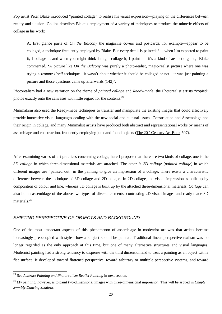Pop artist Peter Blake introduced "painted collage" to realise his visual expression—playing on the differences between reality and illusion. Collins describes Blake's employment of a variety of techniques to produce the mimetic effects of collage in his work:

At first glance parts of *On the Balcony* the magazine covers and postcards, for example—appear to be collaged, a technique frequently employed by Blake. But every detail is painted: '… when I'm expected to paint it, I collage it, and when you might think I might collage it, I paint it—it's a kind of aesthetic game,' Blake commented. 'A picture like *On the Balcony* was purely a photo-realist, magic-realist picture where one was trying a *trompe l'oeil* technique—it wasn't about whether it should be collaged or not—it was just painting a picture and those questions came up afterwards (142)'.

Photorealism had a new variation on the theme of *painted collage* and *Ready-made*: the Photorealist artists "copied" photos exactly onto the canvases with little regard for the contents.<sup>20</sup>

Minimalism also used the Ready-made techniques to transfer and manipulate the existing images that could effectively provide innovative visual languages dealing with the new social and cultural issues. Construction and Assemblage had their origin in collage, and many Minimalist artists have produced both abstract and representational works by means of assemblage and construction, frequently employing junk and found objects (The  $20<sup>th</sup>$ -Century Art Book 507).

After examining varies of art practices concerning collage, here I propose that there are two kinds of collage: one is the *3D collage* in which three-dimensional materials are attached. The other *is 2D collage* (*painted collage*) in which different images are "painted out" in the painting to give an impression of a collage. There exists a characteristic difference between the technique of 3D collage and 2D collage. In 2D collage, the visual impression is built up by composition of colour and line, whereas 3D collage is built up by the attached three-dimensional materials. *Collage* can also be an assemblage of the above two types of diverse elements: contrasting 2D visual images and ready-made 3D materials.<sup>21</sup>

### *SHIFTING PERSPECTIVE OF OBJECTS AND BACKGROUND*

One of the most important aspects of this phenomenon of assemblage in modernist art was that artists became increasingly preoccupied with style—how a subject should be painted. Traditional linear perspective realism was no longer regarded as the only approach at this time, but one of many alternative structures and visual languages. Modernist painting had a strong tendency to dispense with the third dimension and to treat a painting as an object with a flat surface. It developed toward flattened perspective, toward arbitrary or multiple perspective systems, and toward

 <sup>20</sup> See *Abstract Painting and Photorealism Realist Painting* in next section.

<sup>21</sup> My painting, however, is to paint two-dimensional images with three-dimensional impression. This will be argued in *Chapter 3 My Dancing Shadows.*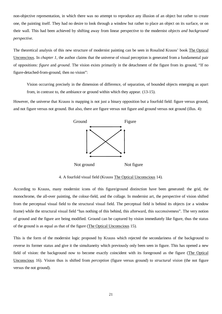non-objective representation, in which there was no attempt to reproduce any illusion of an object but rather to create one, the painting itself. They had no desire to look through a window but rather to place an object on its surface, or on their wall. This had been achieved by shifting away from linear perspective to the modernist *objects and background perspective*.

The theoretical analysis of this new structure of modernist painting can be seen in Rosalind Krauss' book The Optical Unconscious*.* In *chapter 1*, the author claims that the universe of visual perception is generated from a fundamental pair of oppositions: *figure* and *ground*. The vision exists primarily in the detachment of the figure from its ground, "If no figure-detached-from-ground, then no vision":

Vision occurring precisely in the dimension of difference, of separation, of bounded objects emerging as apart from, in contrast to, the ambiance or ground within which they appear. (13-15).

However, the universe that Krauss is mapping is not just a binary opposition but a fourfold field: figure versus ground, and not figure versus not ground. But also, there are figure versus not figure and ground versus not ground (illus. 4):



4. A fourfold visual field (Krauss The Optical Unconscious 14).

According to Krauss, many modernist icons of this figure/ground distinction have been generated: the grid, the monochrome, the all-over painting, the colour-field, and the collage. In modernist art, the perspective of vision shifted from the perceptual visual field to the structural visual field. The perceptual field is behind its objects (or a window frame) while the structural visual field "has nothing of this behind, this afterward, this successiveness". The very notion of ground and the figure are being modified. Ground can be captured by vision immediately like figure, thus the status of the ground is as equal as that of the figure (The Optical Unconscious 15).

This is the form of the modernist logic proposed by Krauss which rejected the secondariness of the background to reverse its former status and give it the simultaneity which previously only been seen in figure. This has opened a new field of vision: the background now to become exactly coincident with its foreground as the figure (The Optical Unconscious 16). Vision thus is shifted from *perception* (figure versus ground) to *structural vision* (the not figure versus the not ground).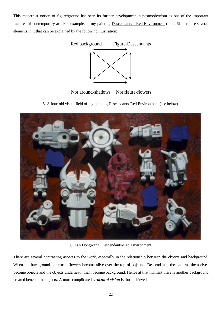This modernist notion of figure/ground has seen its further development in postmodernism as one of the important features of contemporary art. For example, in my painting Descendants—Red Environment (illus. 6) there are several elements in it that can be explained by the following illustration:



Not ground-shadows Not figure-flowers

5. A fourfold visual field of my painting Descendants-Red Environment (see below)*.*



6. Fan Dongwang, Descendants-Red Environment

There are several contrasting aspects to the work, especially in the relationship between the objects and background. When the background patterns—flowers become alive over the top of objects—Descendants, the patterns themselves become objects and the objects underneath them become background. Hence at that moment there is another background created beneath the objects. A more complicated *structural vision* is thus achieved.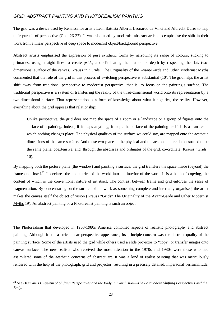### *GRID, ABSTRACT PAINTING AND PHOTOREALISM PAINTING*

The grid was a device used by Renaissance artists Leon Battista Alberti, Leonardo da Vinci and Albrecht Durer to help their pursuit of perspective (Cole 26-27). It was also used by modernist abstract artists to emphasise the shift in their work from a linear perspective of deep space to modernist object/background perspective.

Abstract artists emphasised the expression of pure synthetic forms by narrowing its range of colours, sticking to primaries, using straight lines to create *grids*, and eliminating the illusion of depth by respecting the flat, twodimensional surface of the canvas. Krauss in "Grids" The Originality of the Avant-Garde and Other Modernist Myths commented that the role of the grid in this process of switching perspective is substantial (10). The grid helps the artist shift away from traditional perspective to modernist perspective, that is, to focus on the painting's surface. The traditional perspective is a system of transferring the reality of the three-dimensional world onto its representation by a two-dimensional surface. That representation is a form of knowledge about what it signifies, the reality. However, everything about the grid opposes that relationship:

Unlike perspective, the grid does not map the space of a room or a landscape or a group of figures onto the surface of a painting. Indeed, if it maps anything, it maps the surface of the painting itself. It is a transfer in which nothing changes place. The physical qualities of the surface we could say, are mapped onto the aesthetic dimensions of the same surface. And those two planes—the physical and the aesthetic—are demonstrated to be the same plane: coextensive, and, through the abscissas and ordinates of the grid, co-ordinate (Krauss "Grids" 10).

By mapping both the picture plane (the window) and painting's surface, the grid transfers the space inside (beyond) the frame onto itself.<sup>22</sup> It declares the boundaries of the world into the interior of the work. It is a habit of copying, the content of which is the conventional nature of art itself. The contrast between frame and grid enforces the sense of fragmentation. By concentrating on the surface of the work as something complete and internally organised, the artist makes the canvas itself the object of vision (Krauss "Grids" The Originality of the Avant-Garde and Other Modernist Myths 19). An abstract painting or a Photorealist painting is such an object.

The Photorealism that developed in 1960-1980s America combined aspects of realistic photography and abstract painting. Although it had a strict linear perspective appearance, its principle concern was the abstract quality of the painting surface. Some of the artists used the grid while others used a slide projector to "copy" or transfer images onto canvas surface. The new realists who received the most attention in the 1970s and 1980s were those who had assimilated some of the aesthetic concerns of abstract art. It was a kind of realist painting that was meticulously rendered with the help of the photograph, grid and projector, resulting in a precisely detailed, impersonal verisimilitude.

 <sup>22</sup> See *Diagram 11, System of Shifting Perspectives and the Body* in *ConclusionThe Postmodern Shifting Perspectives and the Body*.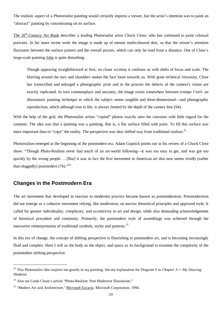The realistic aspect of a Photorealist painting would certainly impress a viewer, but the artist's intention was to paint an "abstract" painting by concentrating on its surface.

The 20<sup>th</sup>-Century Art Book describes a leading Photorealist artist Chuck Close, who has continued to paint colossal portraits. In his more recent work the image is made up of minute multicoloured dots, so that the viewer's attention fluctuates between the surface pattern and the overall picture, which can only be read from a distance. One of Close's large-scale painting John is quite disturbing:

Though appearing straightforward at first, on closer scrutiny it confuses us with shifts of focus and scale. The blurring around the ears and shoulders makes the face loom towards us. With great technical virtuosity, Close has transcribed and enlarged a photographic print and in the process the defects of the camera's vision are exactly replicated. In turn commonplace and uncanny, the image exists somewhere between *trompe l'oeil-* an illusionistic painting technique in which the subject seems tangible and three-dimensional—and photographic reproduction, which although true to life, is always limited by the depth of the camera lens (94).

With the help of the grid, the Photorealist artists "copied" photos exactly onto the canvases with little regard for the contents. The idea was that a painting was a painting, that is, a flat surface filled with paint. To fill this surface was more important than to "copy" the reality. The perspective was thus shifted way from traditional realism.<sup>23</sup>

Photorealism emerged at the beginning of the postmodern era. Adam Gopnick points out in his review of a Chuck Close show: "Though Photo-Realism never had much of an art-world following-it was too easy to get, and was got too quickly by the wrong people. …[But] it was in fact the first movement in American art that now seems vividly (rather than doggedly) postmodern (76)."<sup>24</sup>

### **Changes in the Postmodern Era**

The art movement that developed in reaction to modernist practice became known as postmodernism. Postmodernism did not emerge as a cohesive movement relying, like modernism, on narrow theoretical principles and approved style. It called for greater individuality, complexity, and eccentricity in art and design, while also demanding acknowledgement of historical precedent and continuity. Primarily, the postmodern style of assemblage was achieved through the innovative reinterpretation of traditional symbols, styles and patterns.<sup>25</sup>

In this era of change, the concept of shifting perspective is flourishing in postmodern art, and is becoming increasingly fluid and complex. Here I will us the body as the object, and space as its background to examine the complexity of the postmodern shifting perspective.

<sup>&</sup>lt;sup>23</sup> This Photorealist idea inspires me greatly in my painting. See my explanation for *Diagram* 9 in *Chapter 3—My Dancing Shadows*.

 $^{24}$  Also see Linda Chase's article "Photo-Realism: Post Modernist Illusionism."

<sup>&</sup>lt;sup>25</sup> "Modern Art and Architecture," Microsoft Encarta. Microsoft Corporation. 1994.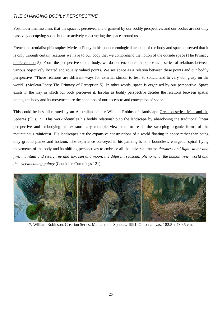### *THE CHANGING BODILY PERSPECTIVE*

Postmodernism assumes that the space is perceived and organised by our bodily perspective, and our bodies are not only passively occupying space but also actively constructing the space around us.

French existentialist philosopher Merleau-Ponty in his phenomenological account of the body and space observed that it is only through certain relations we have to our body that we comprehend the notion of the outside space (The Primacy of Perception 5). From the perspective of the body, we do not encounter the space as a series of relations between various objectively located and equally valued points. We see space as a relation between these points and our bodily perspective. "These relations are different ways for external stimuli to test, to solicit, and to vary our grasp on the world" (Merleau-Ponty The Primacy of Perception 5). In other words, space is organised by our perspective. Space exists in the way in which our body perceives it. Insofar as bodily perspective decides the relations between spatial points, the body and its movement are the condition of our access to and conception of space.

This could be best illustrated by an Australian painter William Robinson's landscape Creation series: Man and the Spheres (illus. 7). This work identifies his bodily relationship to the landscape by abandoning the traditional linear perspective and embodying his extraordinary multiple viewpoints to reach the sweeping organic forms of the mountainous rainforest. His landscapes are the expansive constructions of a world floating in space rather than being only ground planes and horizon. The experience conveyed in his painting is of a boundless, energetic, spiral flying movements of the body and its shifting perspectives to embrace all the universal truths*: darkness and light, water and fire, maintain and river, tree and sky, sun and moon, the different seasonal phenomena, the human inner world and the overwhelming galaxy* (Considine-Cummings 121)*.* 



7. William Robinson. Creation Series: Man and the Spheres. 1991. Oil on canvas, 182.5 x 730.5 cm.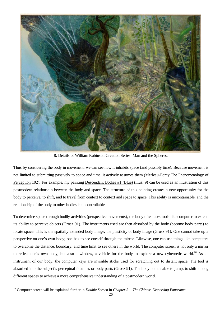

8. Details of William Robinson Creation Series: Man and the Spheres.

Thus by considering the body in movement, we can see how it inhabits space (and possibly time). Because movement is not limited to submitting passively to space and time, it actively assumes them (Merleau-Ponty The Phenomenology of Perception 102). For example, my painting Descendant Bodies #1 (Blue) (illus. 9) can be used as an illustration of this postmodern relationship between the body and space. The structure of this painting creates a new opportunity for the body to perceive, to shift, and to travel from context to context and space to space. This ability is uncontainable, and the relationship of the body to other bodies is uncontrollable.

To determine space through bodily activities (perspective movements), the body often uses tools like computer to extend its ability to perceive objects (Grosz 91). The instruments used are then absorbed by the body (become body parts) to locate space. This is the spatially extended body image, the plasticity of body image (Grosz 91). One cannot take up a perspective on one's own body; one has to see oneself through the mirror. Likewise, one can use things like computers to overcome the distance, boundary, and time limit to see others in the world. The computer screen is not only a mirror to reflect one's own body, but also a window, a vehicle for the body to explore a new cybernetic world.<sup>26</sup> As an instrument of our body, the computer keys are invisible sticks used for scratching out to distant space. The tool is absorbed into the subject's perceptual faculties or body parts (Grosz 91). The body is thus able to jump, to shift among different spaces to achieve a more comprehensive understanding of a postmodern world.

 <sup>26</sup> Computer screen will be explained further in *Double Screen* in *Chapter 2The Chinese Dispersing Panorama.*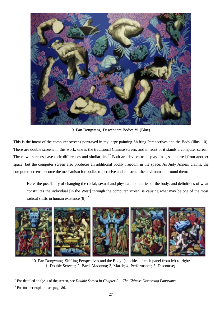

9. Fan Dongwang, Descendant Bodies #1 (Blue)

This is the intent of the computer screens portrayed in my large painting Shifting Perspectives and the Body (illus. 10). There are double screens in this work, one is the traditional Chinese screen, and in front of it stands a computer screen. These two screens have their differences and similarities.<sup>27</sup> Both are devices to display images imported from another space, but the computer screen also produces an additional bodily freedom in the space. As Judy Annear claims, the computer screens become the mechanism for bodies to perceive and construct the environment around them:

Here, the possibility of changing the racial, sexual and physical boundaries of the body, and definitions of what constitutes the individual [in the West] through the computer screen, is causing what may be one of the most radical shifts in human existence  $(8)$ . <sup>28</sup>



10. Fan Dongwang, Shifting Perspectives and the Body. (subtitles of each panel from left to right: 1, Double Screens; 2, Bardi Madonna; 3, March; 4, Performance; 5, Discourse).

 <sup>27</sup> For detailed analysis of the screen, see *Double Screen* in *Chapter 2The Chinese Dispersing Panorama.*

 $28$  For further explain, see page 86.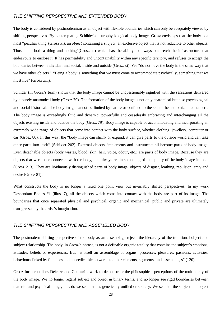### *THE SHIFTING PERSPECTIVE AND EXTENDED BODY*

The body is considered by postmodernism as an object with flexible boundaries which can only be adequately viewed by shifting perspectives. By contemplating Schilder's neurophysiological body image, Grosz envisages that the body is a most "peculiar thing"(Grosz xi): an *object* containing a *subject*, an exclusive object that is not reducible to other objects. Thus "it is both a thing and nothing"(Grosz xi) which has the ability to always outstretch the infrastructure that endeavours to enclose it. It has permeability and uncontainability within any specific territory, and refuses to accept the boundaries between individual and social, inside and outside (Grosz xi). We "do not have the body in the same way that we have other objects." "Being a body is something that we must come to accommodate psychically, something that we must live" (Grosz xiii).

Schilder (in Grosz's term) shows that the body image cannot be unquestionably signified with the sensations delivered by a purely anatomical body (Grosz 79). The formation of the body image is not only anatomical but also psychological and social-historical. The body image cannot be limited by nature or confined to the skin—the anatomical "container". The body image is exceedingly fluid and dynamic, powerfully and ceaselessly embracing and interchanging all the objects existing inside and outside the body (Grosz 79). Body image is capable of accommodating and incorporating an extremely wide range of objects that come into contact with the body surface, whether clothing, jewellery, computer or car (Grosz 80). In this way, the "body image can shrink or expand; it can give parts to the outside world and can take other parts into itself" (Schilder 202). External objects, implements and instruments all become parts of body image. Even detachable objects (body wastes, blood, skin, hair, voice, odour, etc.) are parts of body image. Because they are objects that were once connected with the body, and always retain something of the quality of the body image in them (Grosz 213). They are libidinously distinguished parts of body image; objects of disgust, loathing, repulsion, envy and desire (Grosz 81).

What constructs the body is no longer a fixed one point view but invariably shifted perspectives. In my work Descendant Bodies #1 (illus. 7), all the objects which come into contact with the body are part of its image. The boundaries that once separated physical and psychical, organic and mechanical, public and private are ultimately transgressed by the artist's imagination.

### *THE SHIFTING PERSPECTIVE AND ASSEMBLED BODY*

The postmodern shifting perspective of the body as an assemblage rejects the hierarchy of the traditional object and subject relationship. The body, in Grosz's phrase, is not a definable organic totality that contains the subject's emotions, attitudes, beliefs or experiences. But "is itself an assemblage of organs, processes, pleasures, passions, activities, behaviours linked by fine lines and unpredictable networks to other elements, segments, and assemblages" (120).

Grosz further utilises Deleuze and Guattari's work to demonstrate the philosophical perceptions of the multiplicity of the body image. We no longer regard subject and object in binary terms, and no longer see rigid boundaries between material and psychical things, nor, do we see them as genetically unified or solitary. We see that the subject and object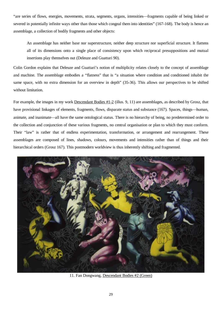"are series of flows, energies, movements, strata, segments, organs, intensities—fragments capable of being linked or severed in potentially infinite ways other than those which congeal them into identities" (167-168). The body is hence an assemblage, a collection of bodily fragments and other objects:

An assemblage has neither base nor superstructure, neither deep structure nor superficial structure. It flattens all of its dimensions onto a single place of consistency upon which reciprocal presuppositions and mutual insertions play themselves out (Deleuze and Guattari 90).

Colin Gordon explains that Deleuze and Guattari's notion of multiplicity relates closely to the concept of assemblage and machine. The assemblage embodies a "flatness" that is "a situation where condition and conditioned inhabit the same space, with no extra dimension for an overview in depth" (35-36). This allows our perspectives to be shifted without limitation.

For example, the images in my work Descendant Bodies #1-2 (illus. 9, 11) are assemblages, as described by Grosz, that have provisional linkages of elements, fragments, flows, disparate status and substance (167). Spaces, things—human, animate, and inanimate—all have the same ontological status. There is no hierarchy of being, no predetermined order to the collection and conjunction of these various fragments, no central organisation or plan to which they must conform. Their "law" is rather that of endless experimentation, transformation, or arrangement and rearrangement. These assemblages are composed of lines, shadows, colours, movements and intensities rather than of things and their hierarchical orders (Grosz 167). This postmodern worldview is thus inherently shifting and fragmented.



11. Fan Dongwang, Descendant Bodies #2 (Green)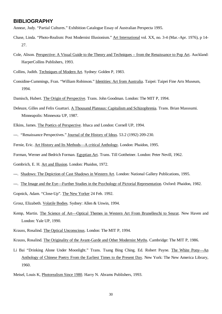### **BIBLIOGRAPHY**

Annear, Judy. "Partial Cultures." Exhibition Catalogue Essay of Australian Perspecta 1995.

- Chase, Linda. "Photo-Realism: Post Modernist Illusionism." Art International vol. XX, no. 3-4 (Mar.-Apr. 1976), p 14- 27.
- Cole, Alison. Perspective: A Visual Guide to the Theory and Techniques from the Renaissance to Pop Art. Auckland: HarperCollins Publishers, 1993.
- Collins, Judith. Techniques of Modern Art*.* Sydney: Golden P, 1983.
- Considine-Cummings, Fran. "William Robinson." Identities: Art from Australia. Taipei: Taipei Fine Arts Museum, 1994.
- Damisch, Hubert. The Origin of Perspective. Trans. John Goodman. London: The MIT P, 1994.
- Deleuze, Gilles and Felix Guattari. A Thousand Plateaus: Capitalism and Schizophrenia*.* Trans. Brian Masssumi. Minneapolis: Minnesota UP, 1987.
- Elkins, James. The Poetics of Perspective. Ithaca and London: Cornell UP, 1994.
- ---. "Renaissance Perspectives." Journal of the History of Ideas. 53.2 (1992) 209-230.
- Fernie, Eric. Art History and Its Methods-A critical Anthology. London: Phaidon, 1995.
- Forman, Werner and Bedrich Forman. Egyptian Art. Trans. Till Gottheiner. London: Peter Nevill, 1962.
- Gombrich, E. H. Art and Illusion. London: Phaidon, 1972.
- ---. Shadows: The Depiction of Cast Shadows in Western Art. London: National Gallery Publications, 1995.
- ---. The Image and the Eye—Further Studies in the Psychology of Pictorial Representation. Oxford: Phaidon, 1982.
- Gopnick, Adam. "Close-Up". The New Yorker 24 Feb. 1992.
- Grosz, Elizabeth. Volatile Bodies*.* Sydney: Allen & Unwin, 1994.
- Kemp, Martin. The Science of Art—Optical Themes in Western Art From Brunelleschi to Seurat. New Haven and London: Yale UP, 1990.
- Krauss, Rosalind. The Optical Unconscious. London: The MIT P, 1994.
- Krauss, Rosalind. The Originality of the Avant-Garde and Other Modernist Myths. Cambridge: The MIT P, 1986.
- Li Bai "Drinking Alone Under Moonlight." Trans. Tsang Bing Ching. Ed. Robert Payne. The White Pony—An Anthology of Chinese Poetry From the Earliest Times to the Present Day. New York: The New America Library, 1960.
- Meisel, Louis K, Photorealism Since 1980. Harry N. Abrams Publishers, 1993.